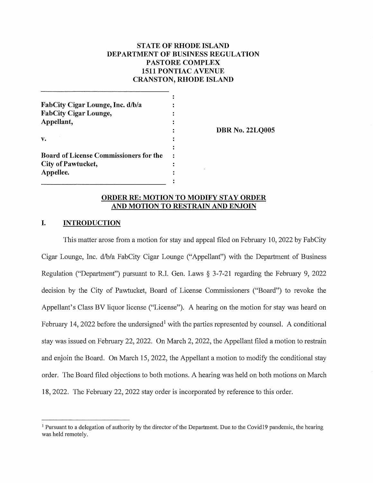# **STATE OF RHODE ISLAND DEPARTMENT OF BUSINESS REGULATION PASTORE COMPLEX 1511 PONTIAC A VENUE CRANSTON, RHODE ISLAND**

| FabCity Cigar Lounge, Inc. d/b/a       |                        |
|----------------------------------------|------------------------|
| <b>FabCity Cigar Lounge,</b>           |                        |
| Appellant,                             |                        |
|                                        | <b>DBR No. 22LQ005</b> |
| V.                                     |                        |
|                                        |                        |
| Board of License Commissioners for the |                        |
| City of Pawtucket,                     |                        |
| Appellee.                              |                        |
|                                        |                        |

## **ORDER RE: MOTION TO MODIFY STAY ORDER AND MOTION TO RESTRAIN AND ENJOIN**

# **I. INTRODUCTION**

This matter arose from a motion for stay and appeal filed on February 10, 2022 by FabCity Cigar Lounge, Inc. d/b/a FabCity Cigar Lounge ("Appellant") with the Department of Business Regulation ("Department") pursuant to R.I. Gen. Laws  $\S$  3-7-21 regarding the February 9, 2022 decision by the City of Pawtucket, Board of License Commissioners ("Board") to revoke the Appellant's Class BV liquor license ("License"). A hearing on the motion for stay was heard on February 14, 2022 before the undersigned<sup>1</sup> with the parties represented by counsel. A conditional stay was issued on February 22, 2022. On March 2, 2022, the Appellant filed a motion to restrain and enjoin the Board. On March 15, 2022, the Appellant a motion to modify the conditional stay order. The Board filed objections to both motions. A hearing was held on both motions on March 18, 2022. The February 22, 2022 stay order is incorporated by reference to this order.

<sup>&</sup>lt;sup>1</sup> Pursuant to a delegation of authority by the director of the Department. Due to the Covid 19 pandemic, the hearing was held remotely.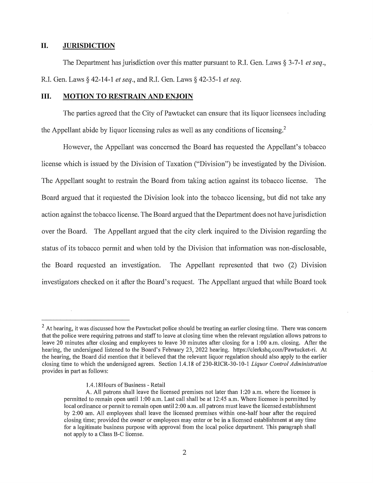#### **II. JURISDICTION**

The Department has jurisdiction over this matter pursuant to R.I. Gen. Laws § 3-7-1 *et seq.*, R.I. Gen. Laws § 42-14-1 *et seq.,* and R.I. Gen. Laws § 42-35-1 *et seq.* 

## **III. MOTION TO RESTRAIN AND ENJOIN**

The parties agreed that the City of Pawtucket can ensure that its liquor licensees including the Appellant abide by liquor licensing rules as well as any conditions of licensing.<sup>2</sup>

However, the Appellant was concemed the Board has requested the Appellant's tobacco license which is issued by the Division of Taxation ("Division") be investigated by the Division. The Appellant sought to restrain the Board from taking action against its tobacco license. The Board argued that it requested the Division look into the tobacco licensing, but did not take any action against the tobacco license. The Board argued that the Department does not have jurisdiction over the Board. The Appellant argued that the city clerk inquired to the Division regarding the status of its tobacco permit and when told by the Division that information was non-disclosable, the Board requested an investigation. The Appellant represented that two (2) Division investigators checked on it after the Board's request. The Appellant argued that while Board took

 $2 \text{ At hearing, it was discussed how the Pawtucket police should be treating an earlier closing time. There was concern.}$ that the police were requiring patrons and staff to leave at closing time when the relevant regulation allows patrons to leave 20 minutes after closing and employees to leave 30 minutes after closing for a 1:00 a.m. closing. After the hearing, the undersigned listened to the Board's February 23, 2022 hearing. https://clerkshq.com/Pawtucket-ri. At the hearing, the Board did mention that it believed that the relevant liquor regulation should also apply to the earlier closing time to which the undersigned agrees. Section 1.4.18 of 230-RICR-30-10-1 *Liquor Control Administration* provides in part as follows:

<sup>1.4 .18</sup>Hours of Business - Retail

A. All patrons shall leave the licensed premises not later than 1:20 a.m. where the licensee is permitted to remain open until 1:00 a.m. Last call shall be at 12:45 a.m. Where licensee is permitted by local ordinance or permit to remain open until 2 :00 a.m. all patrons must leave the licensed establishment by 2:00 am. All employees shall leave the licensed premises within one-half hour after the required closing time; provided the owner or employees may enter or be in a licensed establishment at any time for a legitimate business purpose with approval from the local police department. This paragraph shall not apply to a Class B-C license.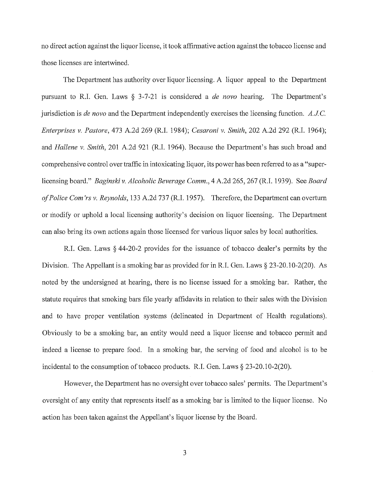no direct action against the liquor license, it took affirmative action against the tobacco license and those licenses are intertwined.

The Department has authority over liquor licensing. A liquor appeal to the Department pursuant to R.I. Gen. Laws § 3-7-21 is considered a *de nova* hearing. The Department's jurisdiction is *de nova* and the Department independently exercises the licensing function. *A.JC. Enterprises v. Pastore,* 473 A.2d 269 (R.I. 1984); *Cesaroni v. Smith,* 202 A.2d 292 (R.I. 1964); and *Hallene v. Smith,* 201 A.2d 921 (R.I. 1964). Because the Department's has such broad and comprehensive control over traffic in intoxicating liquor, its power has been refened to as a "superlicensing board." *Baginski v. Alcoholic Beverage Comm.,* 4 A.2d 265,267 (R.I. 1939). See *Board of Police Com 'rs v. Reynolds,* 133 A.2d 737 (R.I. 1957). Therefore, the Department can overturn or 1nodify or uphold a local licensing authority's decision on liquor licensing. The Department can also bring its own actions again those licensed for various liquor sales by local authorities.

R.I. Gen. Laws § 44-20-2 provides for the issuance of tobacco dealer's permits by the Division. The Appellant is a smoking bar as provided for in R.I. Gen. Laws § 23-20.10-2(20). As noted by the undersigned at hearing, there is no license issued for a smoking bar. Rather, the statute requires that smoking bars file yearly affidavits in relation to their sales with the Division and to have proper ventilation systems (delineated in Department of Health regulations). Obviously to be a smoking bar, an entity would need a liquor license and tobacco permit and indeed a license to prepare food. In a smoking bar, the serving of food and alcohol is to be incidental to the consumption of tobacco products. R.I. Gen. Laws§ 23-20.10-2(20).

However, the Department has no oversight over tobacco sales' permits. The Department's oversight of any entity that represents itself as a smoking bar is limited to the liquor license. No action has been taken against the Appellant's liquor license by the Board.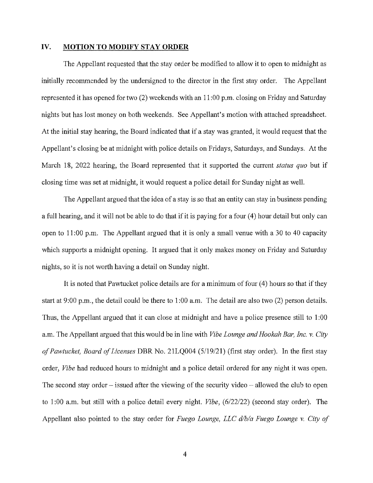## **IV. MOTION TO MODIFY STAY ORDER**

The Appellant requested that the stay order be modified to allow it to open to midnight as initially recommended by the undersigned to the director in the first stay order. The Appellant represented it has opened for two (2) weekends with an 11 :00 p.m. closing on Friday and Saturday nights but has lost money on both weekends. See Appellant's motion with attached spreadsheet. At the initial stay hearing, the Board indicated that if a stay was granted, it would request that the Appellant's closing be at midnight with police details on Fridays, Saturdays, and Sundays. At the March 18, 2022 hearing, the Board represented that it supported the current *status quo* but if closing time was set at midnight, it would request a police detail for Sunday night as well.

The Appellant argued that the idea of a stay is so that an entity can stay in business pending a full hearing, and it will not be able to do that if it is paying for a four (4) hour detail but only can open to 11 :00 p.m. The Appellant argued that it is only a small venue with a 30 to 40 capacity which supports a midnight opening. It argued that it only makes money on Friday and Saturday nights, so it is not worth having a detail on Sunday night.

It is noted that Pawtucket police details are for a minimum of four (4) hours so that if they start at 9:00 p.m., the detail could be there to 1 :00 a.m. The detail are also two (2) person details. Thus, the Appellant argued that it can close at midnight and have a police presence still to **1** :00 a.m. The Appellant argued that this would be in line with *Vibe Lounge and Hookah Bar, Inc. v. City of Pawtucket, Board of Licenses* DBR No. 21LQ004 (5/19/21) (first stay order). In the first stay order, *Vibe* had reduced hours to midnight and a police detail ordered for any night it was open. The second stay order  $-$  issued after the viewing of the security video  $-$  allowed the club to open to 1 :00 a.m. but still with a police detail every night. *Vibe,* (6/22/22) (second stay order). The Appellant also pointed to the stay order for *Fuego Lounge, LLC dlb/a Fuego Lounge v. City of*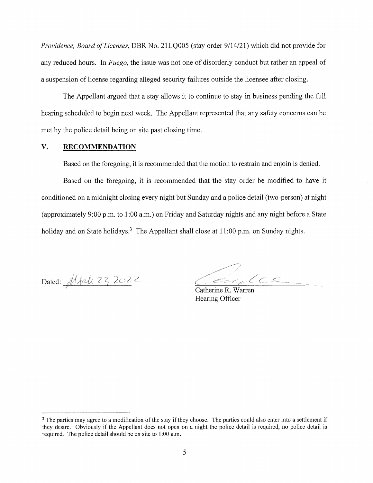*Providence, Board of Licenses,* DBR No. 21LQ005 (stay order 9/14/21) which did not provide for any reduced hours. In *Fuego,* the issue was not one of disorderly conduct but rather an appeal of a suspension of license regarding alleged security failures outside the licensee after closing.

The Appellant argued that a stay allows it to continue to stay in business pending the full hearing scheduled to begin next week. The Appellant represented that any safety concerns can be met by the police detail being on site past closing time.

### **V. RECOMMENDATION**

Based on the foregoing, it is recommended that the motion to restrain and enjoin is denied.

Based on the foregoing, it is recommended that the stay order be modified to have it conditioned on a midnight closing every night but Sunday and a police detail (two-person) at night (approximately 9:00 p.m. to 1 :00 a.m.) on Friday and Saturday nights and any night before a State holiday and on State holidays.<sup>3</sup> The Appellant shall close at  $11:00$  p.m. on Sunday nights.

Dated: MArch 22, 2022

Catherine R. Warren

Hearing Officer

<sup>&</sup>lt;sup>3</sup> The parties may agree to a modification of the stay if they choose. The parties could also enter into a settlement if they desire. Obviously if the Appellant does not open on a night the police detail is required, no police detail is required. The police detail should be on site to 1 :00 a.m.